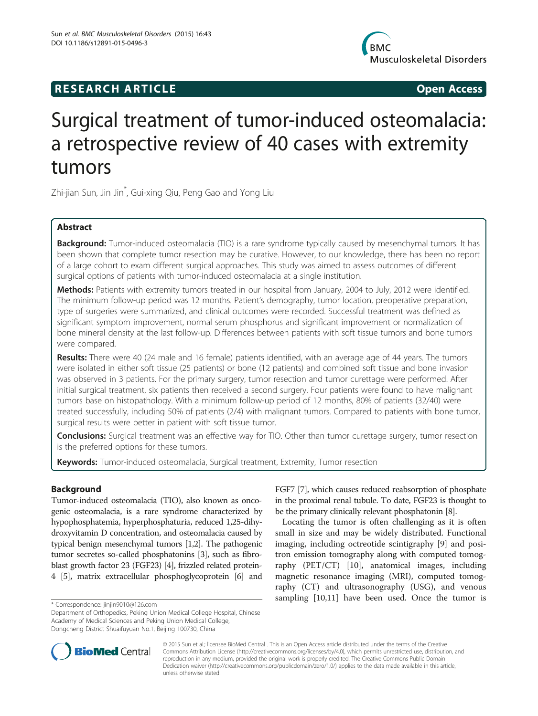## R E S EAR CH A R TIC L E Open Access

**Musculoskeletal Disorders** 

# Surgical treatment of tumor-induced osteomalacia: a retrospective review of 40 cases with extremity tumors

Zhi-jian Sun, Jin Jin\* , Gui-xing Qiu, Peng Gao and Yong Liu

## Abstract

Background: Tumor-induced osteomalacia (TIO) is a rare syndrome typically caused by mesenchymal tumors. It has been shown that complete tumor resection may be curative. However, to our knowledge, there has been no report of a large cohort to exam different surgical approaches. This study was aimed to assess outcomes of different surgical options of patients with tumor-induced osteomalacia at a single institution.

Methods: Patients with extremity tumors treated in our hospital from January, 2004 to July, 2012 were identified. The minimum follow-up period was 12 months. Patient's demography, tumor location, preoperative preparation, type of surgeries were summarized, and clinical outcomes were recorded. Successful treatment was defined as significant symptom improvement, normal serum phosphorus and significant improvement or normalization of bone mineral density at the last follow-up. Differences between patients with soft tissue tumors and bone tumors were compared.

Results: There were 40 (24 male and 16 female) patients identified, with an average age of 44 years. The tumors were isolated in either soft tissue (25 patients) or bone (12 patients) and combined soft tissue and bone invasion was observed in 3 patients. For the primary surgery, tumor resection and tumor curettage were performed. After initial surgical treatment, six patients then received a second surgery. Four patients were found to have malignant tumors base on histopathology. With a minimum follow-up period of 12 months, 80% of patients (32/40) were treated successfully, including 50% of patients (2/4) with malignant tumors. Compared to patients with bone tumor, surgical results were better in patient with soft tissue tumor.

Conclusions: Surgical treatment was an effective way for TIO. Other than tumor curettage surgery, tumor resection is the preferred options for these tumors.

Keywords: Tumor-induced osteomalacia, Surgical treatment, Extremity, Tumor resection

## **Background**

Tumor-induced osteomalacia (TIO), also known as oncogenic osteomalacia, is a rare syndrome characterized by hypophosphatemia, hyperphosphaturia, reduced 1,25-dihydroxyvitamin D concentration, and osteomalacia caused by typical benign mesenchymal tumors [\[1,2\]](#page-7-0). The pathogenic tumor secretes so-called phosphatonins [\[3\]](#page-7-0), such as fibroblast growth factor 23 (FGF23) [[4\]](#page-7-0), frizzled related protein-4 [\[5\]](#page-7-0), matrix extracellular phosphoglycoprotein [\[6](#page-7-0)] and

Department of Orthopedics, Peking Union Medical College Hospital, Chinese Academy of Medical Sciences and Peking Union Medical College, Dongcheng District Shuaifuyuan No.1, Beijing 100730, China

FGF7 [[7](#page-7-0)], which causes reduced reabsorption of phosphate in the proximal renal tubule. To date, FGF23 is thought to be the primary clinically relevant phosphatonin [\[8](#page-7-0)].

Locating the tumor is often challenging as it is often small in size and may be widely distributed. Functional imaging, including octreotide scintigraphy [\[9](#page-7-0)] and positron emission tomography along with computed tomography (PET/CT) [\[10](#page-7-0)], anatomical images, including magnetic resonance imaging (MRI), computed tomography (CT) and ultrasonography (USG), and venous sampling [\[10,11\]](#page-7-0) have been used. Once the tumor is \* Correspondence: [jinjin9010@126.com](mailto:jinjin9010@126.com)



© 2015 Sun et al.; licensee BioMed Central . This is an Open Access article distributed under the terms of the Creative Commons Attribution License [\(http://creativecommons.org/licenses/by/4.0\)](http://creativecommons.org/licenses/by/4.0), which permits unrestricted use, distribution, and reproduction in any medium, provided the original work is properly credited. The Creative Commons Public Domain Dedication waiver [\(http://creativecommons.org/publicdomain/zero/1.0/](http://creativecommons.org/publicdomain/zero/1.0/)) applies to the data made available in this article, unless otherwise stated.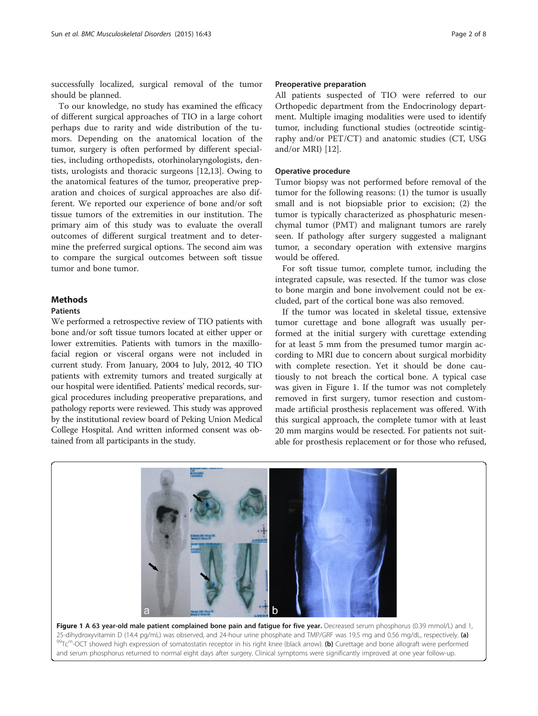successfully localized, surgical removal of the tumor should be planned.

To our knowledge, no study has examined the efficacy of different surgical approaches of TIO in a large cohort perhaps due to rarity and wide distribution of the tumors. Depending on the anatomical location of the tumor, surgery is often performed by different specialties, including orthopedists, otorhinolaryngologists, dentists, urologists and thoracic surgeons [[12,13\]](#page-7-0). Owing to the anatomical features of the tumor, preoperative preparation and choices of surgical approaches are also different. We reported our experience of bone and/or soft tissue tumors of the extremities in our institution. The primary aim of this study was to evaluate the overall outcomes of different surgical treatment and to determine the preferred surgical options. The second aim was to compare the surgical outcomes between soft tissue tumor and bone tumor.

### Methods

#### Patients

We performed a retrospective review of TIO patients with bone and/or soft tissue tumors located at either upper or lower extremities. Patients with tumors in the maxillofacial region or visceral organs were not included in current study. From January, 2004 to July, 2012, 40 TIO patients with extremity tumors and treated surgically at our hospital were identified. Patients' medical records, surgical procedures including preoperative preparations, and pathology reports were reviewed. This study was approved by the institutional review board of Peking Union Medical College Hospital. And written informed consent was obtained from all participants in the study.

#### Preoperative preparation

All patients suspected of TIO were referred to our Orthopedic department from the Endocrinology department. Multiple imaging modalities were used to identify tumor, including functional studies (octreotide scintigraphy and/or PET/CT) and anatomic studies (CT, USG and/or MRI) [[12\]](#page-7-0).

#### Operative procedure

Tumor biopsy was not performed before removal of the tumor for the following reasons: (1) the tumor is usually small and is not biopsiable prior to excision; (2) the tumor is typically characterized as phosphaturic mesenchymal tumor (PMT) and malignant tumors are rarely seen. If pathology after surgery suggested a malignant tumor, a secondary operation with extensive margins would be offered.

For soft tissue tumor, complete tumor, including the integrated capsule, was resected. If the tumor was close to bone margin and bone involvement could not be excluded, part of the cortical bone was also removed.

If the tumor was located in skeletal tissue, extensive tumor curettage and bone allograft was usually performed at the initial surgery with curettage extending for at least 5 mm from the presumed tumor margin according to MRI due to concern about surgical morbidity with complete resection. Yet it should be done cautiously to not breach the cortical bone. A typical case was given in Figure 1. If the tumor was not completely removed in first surgery, tumor resection and custommade artificial prosthesis replacement was offered. With this surgical approach, the complete tumor with at least 20 mm margins would be resected. For patients not suitable for prosthesis replacement or for those who refused,



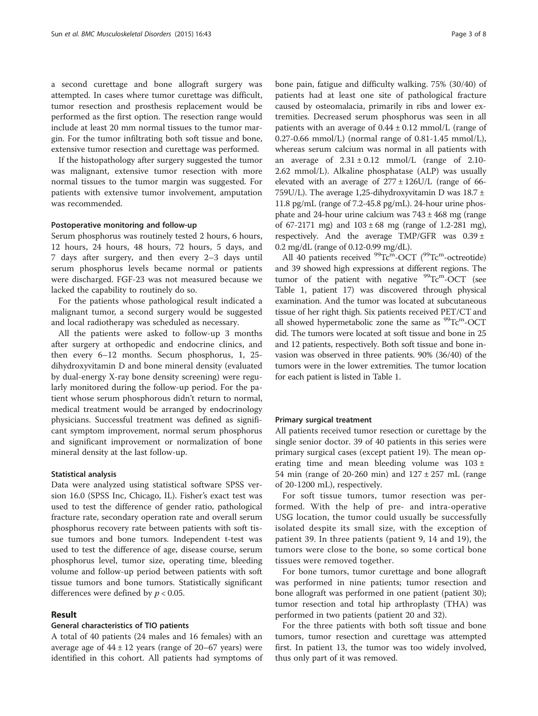a second curettage and bone allograft surgery was attempted. In cases where tumor curettage was difficult, tumor resection and prosthesis replacement would be performed as the first option. The resection range would include at least 20 mm normal tissues to the tumor margin. For the tumor infiltrating both soft tissue and bone, extensive tumor resection and curettage was performed.

If the histopathology after surgery suggested the tumor was malignant, extensive tumor resection with more normal tissues to the tumor margin was suggested. For patients with extensive tumor involvement, amputation was recommended.

#### Postoperative monitoring and follow-up

Serum phosphorus was routinely tested 2 hours, 6 hours, 12 hours, 24 hours, 48 hours, 72 hours, 5 days, and 7 days after surgery, and then every 2–3 days until serum phosphorus levels became normal or patients were discharged. FGF-23 was not measured because we lacked the capability to routinely do so.

For the patients whose pathological result indicated a malignant tumor, a second surgery would be suggested and local radiotherapy was scheduled as necessary.

All the patients were asked to follow-up 3 months after surgery at orthopedic and endocrine clinics, and then every 6–12 months. Secum phosphorus, 1, 25 dihydroxyvitamin D and bone mineral density (evaluated by dual-energy X-ray bone density screening) were regularly monitored during the follow-up period. For the patient whose serum phosphorous didn't return to normal, medical treatment would be arranged by endocrinology physicians. Successful treatment was defined as significant symptom improvement, normal serum phosphorus and significant improvement or normalization of bone mineral density at the last follow-up.

#### Statistical analysis

Data were analyzed using statistical software SPSS version 16.0 (SPSS Inc, Chicago, IL). Fisher's exact test was used to test the difference of gender ratio, pathological fracture rate, secondary operation rate and overall serum phosphorus recovery rate between patients with soft tissue tumors and bone tumors. Independent t-test was used to test the difference of age, disease course, serum phosphorus level, tumor size, operating time, bleeding volume and follow-up period between patients with soft tissue tumors and bone tumors. Statistically significant differences were defined by  $p < 0.05$ .

#### Result

#### General characteristics of TIO patients

A total of 40 patients (24 males and 16 females) with an average age of  $44 \pm 12$  years (range of  $20-67$  years) were identified in this cohort. All patients had symptoms of

bone pain, fatigue and difficulty walking. 75% (30/40) of patients had at least one site of pathological fracture caused by osteomalacia, primarily in ribs and lower extremities. Decreased serum phosphorus was seen in all patients with an average of  $0.44 \pm 0.12$  mmol/L (range of 0.27-0.66 mmol/L) (normal range of  $0.81-1.45$  mmol/L), whereas serum calcium was normal in all patients with an average of  $2.31 \pm 0.12$  mmol/L (range of 2.10-2.62 mmol/L). Alkaline phosphatase (ALP) was usually elevated with an average of  $277 \pm 126$ U/L (range of 66-759U/L). The average 1,25-dihydroxyvitamin D was  $18.7 \pm$ 11.8 pg/mL (range of 7.2-45.8 pg/mL). 24-hour urine phosphate and 24-hour urine calcium was  $743 \pm 468$  mg (range of 67-2171 mg) and  $103 \pm 68$  mg (range of 1.2-281 mg), respectively. And the average TMP/GFR was  $0.39 \pm$ 0.2 mg/dL (range of 0.12-0.99 mg/dL).

All 40 patients received  $^{99}$ Tc<sup>m</sup>-OCT ( $^{99}$ Tc<sup>m</sup>-octreotide) and 39 showed high expressions at different regions. The tumor of the patient with negative  $99^{\circ}$ Tc<sup>m</sup>-OCT (see Table [1](#page-3-0), patient 17) was discovered through physical examination. And the tumor was located at subcutaneous tissue of her right thigh. Six patients received PET/CT and all showed hypermetabolic zone the same as  $\rm{^{99}Tc^m\text{-}OCT}$ did. The tumors were located at soft tissue and bone in 25 and 12 patients, respectively. Both soft tissue and bone invasion was observed in three patients. 90% (36/40) of the tumors were in the lower extremities. The tumor location for each patient is listed in Table [1.](#page-3-0)

#### Primary surgical treatment

All patients received tumor resection or curettage by the single senior doctor. 39 of 40 patients in this series were primary surgical cases (except patient 19). The mean operating time and mean bleeding volume was  $103 \pm$ 54 min (range of 20-260 min) and  $127 \pm 257$  mL (range of 20-1200 mL), respectively.

For soft tissue tumors, tumor resection was performed. With the help of pre- and intra-operative USG location, the tumor could usually be successfully isolated despite its small size, with the exception of patient 39. In three patients (patient 9, 14 and 19), the tumors were close to the bone, so some cortical bone tissues were removed together.

For bone tumors, tumor curettage and bone allograft was performed in nine patients; tumor resection and bone allograft was performed in one patient (patient 30); tumor resection and total hip arthroplasty (THA) was performed in two patients (patient 20 and 32).

For the three patients with both soft tissue and bone tumors, tumor resection and curettage was attempted first. In patient 13, the tumor was too widely involved, thus only part of it was removed.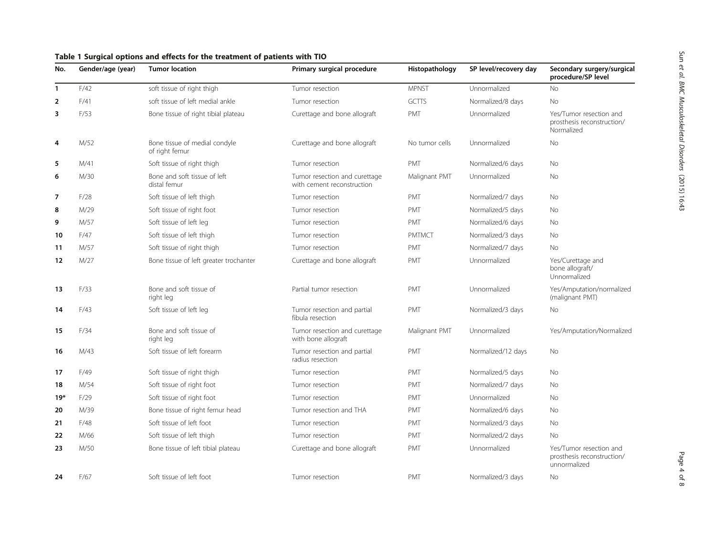| No.            | Gender/age (year) | <b>Tumor location</b>                           | Primary surgical procedure                                  | Histopathology | SP level/recovery day | Secondary surgery/surgical<br>procedure/SP level                      |
|----------------|-------------------|-------------------------------------------------|-------------------------------------------------------------|----------------|-----------------------|-----------------------------------------------------------------------|
| $\mathbf{1}$   | F/42              | soft tissue of right thigh                      | Tumor resection                                             | <b>MPNST</b>   | Unnormalized          | <b>No</b>                                                             |
| $\overline{2}$ | F/41              | soft tissue of left medial ankle                | Tumor resection                                             | <b>GCTTS</b>   | Normalized/8 days     | <b>No</b>                                                             |
| 3              | F/53              | Bone tissue of right tibial plateau             | Curettage and bone allograft                                | <b>PMT</b>     | Unnormalized          | Yes/Tumor resection and<br>prosthesis reconstruction/<br>Normalized   |
| 4              | M/52              | Bone tissue of medial condyle<br>of right femur | Curettage and bone allograft                                | No tumor cells | Unnormalized          | No                                                                    |
| 5              | M/41              | Soft tissue of right thigh                      | Tumor resection                                             | <b>PMT</b>     | Normalized/6 days     | No                                                                    |
| 6              | M/30              | Bone and soft tissue of left<br>distal femur    | Tumor resection and curettage<br>with cement reconstruction | Malignant PMT  | Unnormalized          | No                                                                    |
| $\overline{7}$ | F/28              | Soft tissue of left thigh                       | Tumor resection                                             | <b>PMT</b>     | Normalized/7 days     | No                                                                    |
| 8              | M/29              | Soft tissue of right foot                       | Tumor resection                                             | <b>PMT</b>     | Normalized/5 days     | No                                                                    |
| 9              | M/57              | Soft tissue of left leg                         | Tumor resection                                             | <b>PMT</b>     | Normalized/6 days     | No                                                                    |
| 10             | F/47              | Soft tissue of left thigh                       | Tumor resection                                             | <b>PMTMCT</b>  | Normalized/3 days     | No                                                                    |
| 11             | M/57              | Soft tissue of right thigh                      | Tumor resection                                             | <b>PMT</b>     | Normalized/7 days     | No                                                                    |
| 12             | M/27              | Bone tissue of left greater trochanter          | Curettage and bone allograft                                | <b>PMT</b>     | Unnormalized          | Yes/Curettage and<br>bone allograft/<br>Unnormalized                  |
| 13             | F/33              | Bone and soft tissue of<br>right leg            | Partial tumor resection                                     | <b>PMT</b>     | Unnormalized          | Yes/Amputation/normalized<br>(malignant PMT)                          |
| 14             | F/43              | Soft tissue of left leg                         | Tumor resection and partial<br>fibula resection             | PMT            | Normalized/3 days     | No                                                                    |
| 15             | F/34              | Bone and soft tissue of<br>right leg            | Tumor resection and curettage<br>with bone allograft        | Malignant PMT  | Unnormalized          | Yes/Amputation/Normalized                                             |
| 16             | M/43              | Soft tissue of left forearm                     | Tumor resection and partial<br>radius resection             | <b>PMT</b>     | Normalized/12 days    | <b>No</b>                                                             |
| 17             | F/49              | Soft tissue of right thigh                      | Tumor resection                                             | <b>PMT</b>     | Normalized/5 days     | No                                                                    |
| 18             | M/54              | Soft tissue of right foot                       | Tumor resection                                             | <b>PMT</b>     | Normalized/7 days     | No                                                                    |
| $19*$          | F/29              | Soft tissue of right foot                       | Tumor resection                                             | <b>PMT</b>     | Unnormalized          | No                                                                    |
| 20             | M/39              | Bone tissue of right femur head                 | Tumor resection and THA                                     | <b>PMT</b>     | Normalized/6 days     | No                                                                    |
| 21             | F/48              | Soft tissue of left foot                        | Tumor resection                                             | <b>PMT</b>     | Normalized/3 days     | No                                                                    |
| 22             | M/66              | Soft tissue of left thigh                       | Tumor resection                                             | <b>PMT</b>     | Normalized/2 days     | <b>No</b>                                                             |
| 23             | M/50              | Bone tissue of left tibial plateau              | Curettage and bone allograft                                | <b>PMT</b>     | Unnormalized          | Yes/Tumor resection and<br>prosthesis reconstruction/<br>unnormalized |
| 24             | F/67              | Soft tissue of left foot                        | Tumor resection                                             | <b>PMT</b>     | Normalized/3 days     | No                                                                    |

## <span id="page-3-0"></span>Table 1 Surgical options and effects for the treatment of patients with TIO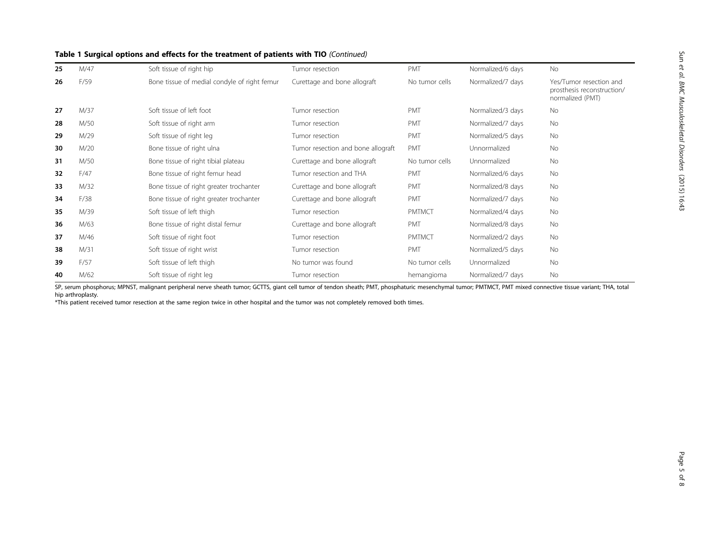| 25 | M/47 | Soft tissue of right hip                     | Tumor resection                    | <b>PMT</b>     | Normalized/6 days | <b>No</b>                                                                 |
|----|------|----------------------------------------------|------------------------------------|----------------|-------------------|---------------------------------------------------------------------------|
| 26 | F/59 | Bone tissue of medial condyle of right femur | Curettage and bone allograft       | No tumor cells | Normalized/7 days | Yes/Tumor resection and<br>prosthesis reconstruction/<br>normalized (PMT) |
| 27 | M/37 | Soft tissue of left foot                     | Tumor resection                    | <b>PMT</b>     | Normalized/3 days | <b>No</b>                                                                 |
| 28 | M/50 | Soft tissue of right arm                     | Tumor resection                    | PMT            | Normalized/7 days | <b>No</b>                                                                 |
| 29 | M/29 | Soft tissue of right leg                     | Tumor resection                    | <b>PMT</b>     | Normalized/5 days | <b>No</b>                                                                 |
| 30 | M/20 | Bone tissue of right ulna                    | Tumor resection and bone allograft | PMT            | Unnormalized      | <b>No</b>                                                                 |
| 31 | M/50 | Bone tissue of right tibial plateau          | Curettage and bone allograft       | No tumor cells | Unnormalized      | No                                                                        |
| 32 | F/47 | Bone tissue of right femur head              | Tumor resection and THA            | <b>PMT</b>     | Normalized/6 days | <b>No</b>                                                                 |
| 33 | M/32 | Bone tissue of right greater trochanter      | Curettage and bone allograft       | <b>PMT</b>     | Normalized/8 days | <b>No</b>                                                                 |
| 34 | F/38 | Bone tissue of right greater trochanter      | Curettage and bone allograft       | PMT            | Normalized/7 days | <b>No</b>                                                                 |
| 35 | M/39 | Soft tissue of left thigh                    | Tumor resection                    | <b>PMTMCT</b>  | Normalized/4 days | <b>No</b>                                                                 |
| 36 | M/63 | Bone tissue of right distal femur            | Curettage and bone allograft       | PMT            | Normalized/8 days | No                                                                        |
| 37 | M/46 | Soft tissue of right foot                    | Tumor resection                    | <b>PMTMCT</b>  | Normalized/2 days | No                                                                        |
| 38 | M/31 | Soft tissue of right wrist                   | Tumor resection                    | PMT            | Normalized/5 days | <b>No</b>                                                                 |
| 39 | F/57 | Soft tissue of left thigh                    | No tumor was found                 | No tumor cells | Unnormalized      | <b>No</b>                                                                 |
| 40 | M/62 | Soft tissue of right leg                     | Tumor resection                    | hemangioma     | Normalized/7 days | <b>No</b>                                                                 |

### Table 1 Surgical options and effects for the treatment of patients with TIO (Continued)

SP, serum phosphorus; MPNST, malignant peripheral nerve sheath tumor; GCTTS, giant cell tumor of tendon sheath; PMT, phosphaturic mesenchymal tumor; PMTMCT, PMT mixed connective tissue variant; THA, total hip arthroplasty.

\*This patient received tumor resection at the same region twice in other hospital and the tumor was not completely removed both times.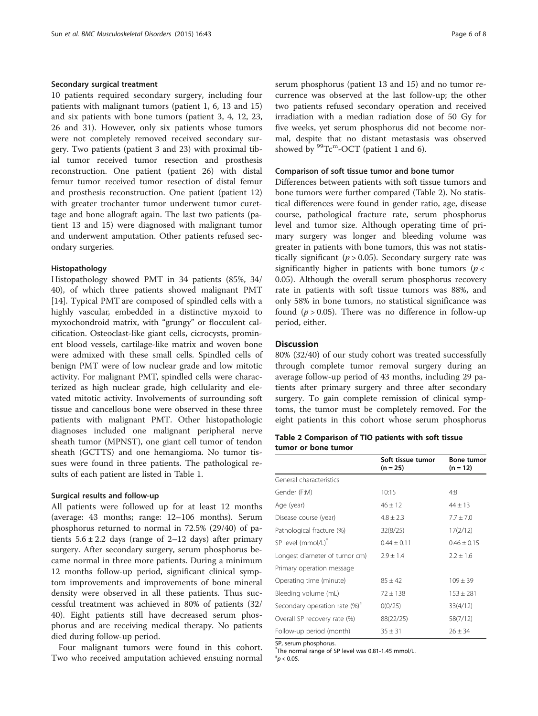#### Secondary surgical treatment

10 patients required secondary surgery, including four patients with malignant tumors (patient 1, 6, 13 and 15) and six patients with bone tumors (patient 3, 4, 12, 23, 26 and 31). However, only six patients whose tumors were not completely removed received secondary surgery. Two patients (patient 3 and 23) with proximal tibial tumor received tumor resection and prosthesis reconstruction. One patient (patient 26) with distal femur tumor received tumor resection of distal femur and prosthesis reconstruction. One patient (patient 12) with greater trochanter tumor underwent tumor curettage and bone allograft again. The last two patients (patient 13 and 15) were diagnosed with malignant tumor and underwent amputation. Other patients refused secondary surgeries.

#### Histopathology

Histopathology showed PMT in 34 patients (85%, 34/ 40), of which three patients showed malignant PMT [[14\]](#page-7-0). Typical PMT are composed of spindled cells with a highly vascular, embedded in a distinctive myxoid to myxochondroid matrix, with "grungy" or flocculent calcification. Osteoclast-like giant cells, cicrocysts, prominent blood vessels, cartilage-like matrix and woven bone were admixed with these small cells. Spindled cells of benign PMT were of low nuclear grade and low mitotic activity. For malignant PMT, spindled cells were characterized as high nuclear grade, high cellularity and elevated mitotic activity. Involvements of surrounding soft tissue and cancellous bone were observed in these three patients with malignant PMT. Other histopathologic diagnoses included one malignant peripheral nerve sheath tumor (MPNST), one giant cell tumor of tendon sheath (GCTTS) and one hemangioma. No tumor tissues were found in three patients. The pathological results of each patient are listed in Table [1.](#page-3-0)

#### Surgical results and follow-up

All patients were followed up for at least 12 months (average: 43 months; range: 12–106 months). Serum phosphorus returned to normal in 72.5% (29/40) of patients  $5.6 \pm 2.2$  days (range of 2–12 days) after primary surgery. After secondary surgery, serum phosphorus became normal in three more patients. During a minimum 12 months follow-up period, significant clinical symptom improvements and improvements of bone mineral density were observed in all these patients. Thus successful treatment was achieved in 80% of patients (32/ 40). Eight patients still have decreased serum phosphorus and are receiving medical therapy. No patients died during follow-up period.

Four malignant tumors were found in this cohort. Two who received amputation achieved ensuing normal serum phosphorus (patient 13 and 15) and no tumor recurrence was observed at the last follow-up; the other two patients refused secondary operation and received irradiation with a median radiation dose of 50 Gy for five weeks, yet serum phosphorus did not become normal, despite that no distant metastasis was observed showed by  ${}^{99}$ Tc<sup>m</sup>-OCT (patient 1 and 6).

#### Comparison of soft tissue tumor and bone tumor

Differences between patients with soft tissue tumors and bone tumors were further compared (Table 2). No statistical differences were found in gender ratio, age, disease course, pathological fracture rate, serum phosphorus level and tumor size. Although operating time of primary surgery was longer and bleeding volume was greater in patients with bone tumors, this was not statistically significant ( $p > 0.05$ ). Secondary surgery rate was significantly higher in patients with bone tumors ( $p <$ 0.05). Although the overall serum phosphorus recovery rate in patients with soft tissue tumors was 88%, and only 58% in bone tumors, no statistical significance was found ( $p > 0.05$ ). There was no difference in follow-up period, either.

#### **Discussion**

80% (32/40) of our study cohort was treated successfully through complete tumor removal surgery during an average follow-up period of 43 months, including 29 patients after primary surgery and three after secondary surgery. To gain complete remission of clinical symptoms, the tumor must be completely removed. For the eight patients in this cohort whose serum phosphorus

#### Table 2 Comparison of TIO patients with soft tissue tumor or bone tumor

|                                      | Soft tissue tumor<br>$(n = 25)$ | <b>Bone tumor</b><br>$(n = 12)$ |
|--------------------------------------|---------------------------------|---------------------------------|
| General characteristics              |                                 |                                 |
| Gender (F:M)                         | 10:15                           | 4:8                             |
| Age (year)                           | $46 \pm 12$                     | $44 \pm 13$                     |
| Disease course (year)                | $4.8 \pm 2.3$                   | $7.7 \pm 7.0$                   |
| Pathological fracture (%)            | 32(8/25)                        | 17(2/12)                        |
| SP level (mmol/L) <sup>*</sup>       | $0.44 \pm 0.11$                 | $0.46 \pm 0.15$                 |
| Longest diameter of tumor cm)        | $2.9 \pm 1.4$                   | $2.2 \pm 1.6$                   |
| Primary operation message            |                                 |                                 |
| Operating time (minute)              | $85 \pm 42$                     | $109 \pm 39$                    |
| Bleeding volume (mL)                 | $72 \pm 138$                    | $153 \pm 281$                   |
| Secondary operation rate $(\%)^{\#}$ | 0(0/25)                         | 33(4/12)                        |
| Overall SP recovery rate (%)         | 88(22/25)                       | 58(7/12)                        |
| Follow-up period (month)             | $35 \pm 31$                     | $26 \pm 34$                     |

SP, serum phosphorus.

\* The normal range of SP level was 0.81-1.45 mmol/L.

 $^{*}p < 0.05$ .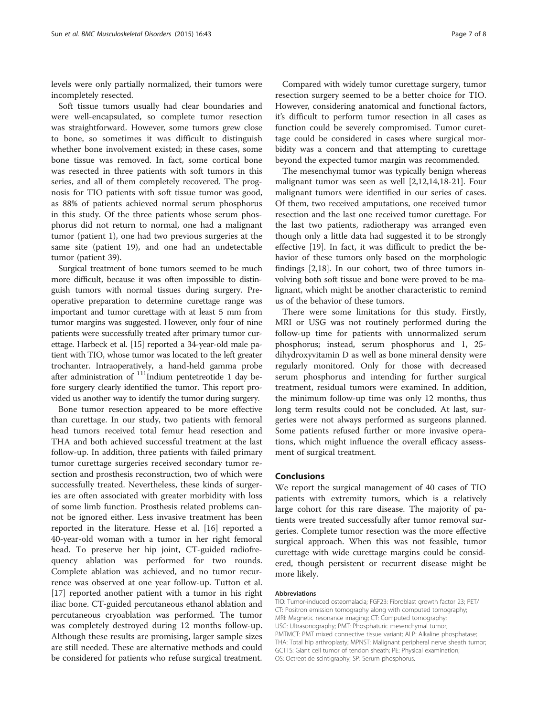levels were only partially normalized, their tumors were incompletely resected.

Soft tissue tumors usually had clear boundaries and were well-encapsulated, so complete tumor resection was straightforward. However, some tumors grew close to bone, so sometimes it was difficult to distinguish whether bone involvement existed; in these cases, some bone tissue was removed. In fact, some cortical bone was resected in three patients with soft tumors in this series, and all of them completely recovered. The prognosis for TIO patients with soft tissue tumor was good, as 88% of patients achieved normal serum phosphorus in this study. Of the three patients whose serum phosphorus did not return to normal, one had a malignant tumor (patient 1), one had two previous surgeries at the same site (patient 19), and one had an undetectable tumor (patient 39).

Surgical treatment of bone tumors seemed to be much more difficult, because it was often impossible to distinguish tumors with normal tissues during surgery. Preoperative preparation to determine curettage range was important and tumor curettage with at least 5 mm from tumor margins was suggested. However, only four of nine patients were successfully treated after primary tumor curettage. Harbeck et al. [\[15\]](#page-7-0) reported a 34-year-old male patient with TIO, whose tumor was located to the left greater trochanter. Intraoperatively, a hand-held gamma probe after administration of <sup>111</sup>Indium pentetreotide 1 day before surgery clearly identified the tumor. This report provided us another way to identify the tumor during surgery.

Bone tumor resection appeared to be more effective than curettage. In our study, two patients with femoral head tumors received total femur head resection and THA and both achieved successful treatment at the last follow-up. In addition, three patients with failed primary tumor curettage surgeries received secondary tumor resection and prosthesis reconstruction, two of which were successfully treated. Nevertheless, these kinds of surgeries are often associated with greater morbidity with loss of some limb function. Prosthesis related problems cannot be ignored either. Less invasive treatment has been reported in the literature. Hesse et al. [[16\]](#page-7-0) reported a 40-year-old woman with a tumor in her right femoral head. To preserve her hip joint, CT-guided radiofrequency ablation was performed for two rounds. Complete ablation was achieved, and no tumor recurrence was observed at one year follow-up. Tutton et al. [[17\]](#page-7-0) reported another patient with a tumor in his right iliac bone. CT-guided percutaneous ethanol ablation and percutaneous cryoablation was performed. The tumor was completely destroyed during 12 months follow-up. Although these results are promising, larger sample sizes are still needed. These are alternative methods and could be considered for patients who refuse surgical treatment.

Compared with widely tumor curettage surgery, tumor resection surgery seemed to be a better choice for TIO. However, considering anatomical and functional factors, it's difficult to perform tumor resection in all cases as function could be severely compromised. Tumor curettage could be considered in cases where surgical morbidity was a concern and that attempting to curettage beyond the expected tumor margin was recommended.

The mesenchymal tumor was typically benign whereas malignant tumor was seen as well [[2,12,14,18-21](#page-7-0)]. Four malignant tumors were identified in our series of cases. Of them, two received amputations, one received tumor resection and the last one received tumor curettage. For the last two patients, radiotherapy was arranged even though only a little data had suggested it to be strongly effective [[19](#page-7-0)]. In fact, it was difficult to predict the behavior of these tumors only based on the morphologic findings [[2,18\]](#page-7-0). In our cohort, two of three tumors involving both soft tissue and bone were proved to be malignant, which might be another characteristic to remind us of the behavior of these tumors.

There were some limitations for this study. Firstly, MRI or USG was not routinely performed during the follow-up time for patients with unnormalized serum phosphorus; instead, serum phosphorus and 1, 25 dihydroxyvitamin D as well as bone mineral density were regularly monitored. Only for those with decreased serum phosphorus and intending for further surgical treatment, residual tumors were examined. In addition, the minimum follow-up time was only 12 months, thus long term results could not be concluded. At last, surgeries were not always performed as surgeons planned. Some patients refused further or more invasive operations, which might influence the overall efficacy assessment of surgical treatment.

### Conclusions

We report the surgical management of 40 cases of TIO patients with extremity tumors, which is a relatively large cohort for this rare disease. The majority of patients were treated successfully after tumor removal surgeries. Complete tumor resection was the more effective surgical approach. When this was not feasible, tumor curettage with wide curettage margins could be considered, though persistent or recurrent disease might be more likely.

#### Abbreviations

TIO: Tumor-induced osteomalacia; FGF23: Fibroblast growth factor 23; PET/ CT: Positron emission tomography along with computed tomography; MRI: Magnetic resonance imaging; CT: Computed tomography; USG: Ultrasonography; PMT: Phosphaturic mesenchymal tumor; PMTMCT: PMT mixed connective tissue variant; ALP: Alkaline phosphatase; THA: Total hip arthroplasty; MPNST: Malignant peripheral nerve sheath tumor; GCTTS: Giant cell tumor of tendon sheath; PE: Physical examination; OS: Octreotide scintigraphy; SP: Serum phosphorus.